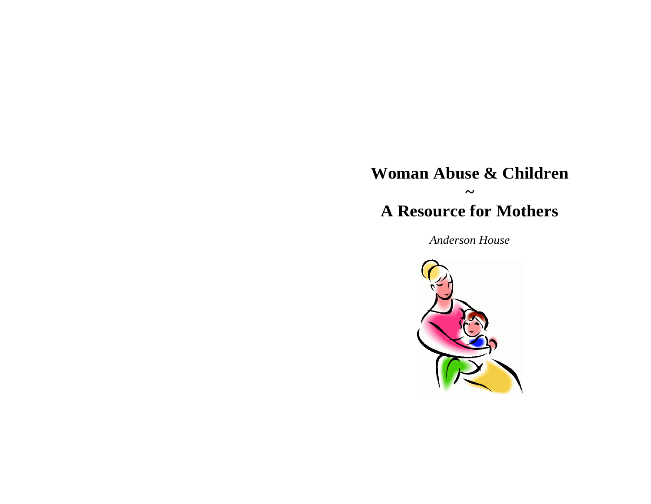# **Woman Abuse & Children ~ A Resource for Mothers**

*Anderson House*

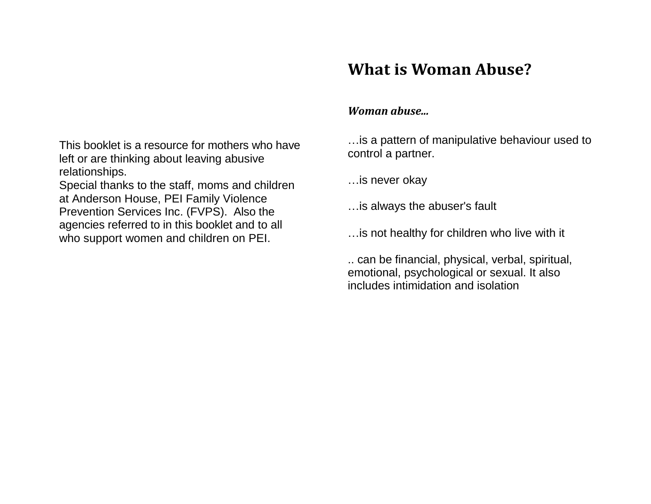# **What is Woman Abuse?**

## *Woman abuse...*

…is a pattern of manipulative behaviour used to control a partner.

…is never okay

…is always the abuser's fault

…is not healthy for children who live with it

.. can be financial, physical, verbal, spiritual, emotional, psychological or sexual. It also includes intimidation and isolation

This booklet is a resource for mothers who have left or are thinking about leaving abusive relationships.

Special thanks to the staff, moms and children at Anderson House, PEI Family Violence Prevention Services Inc. (FVPS). Also the agencies referred to in this booklet and to all who support women and children on PEI.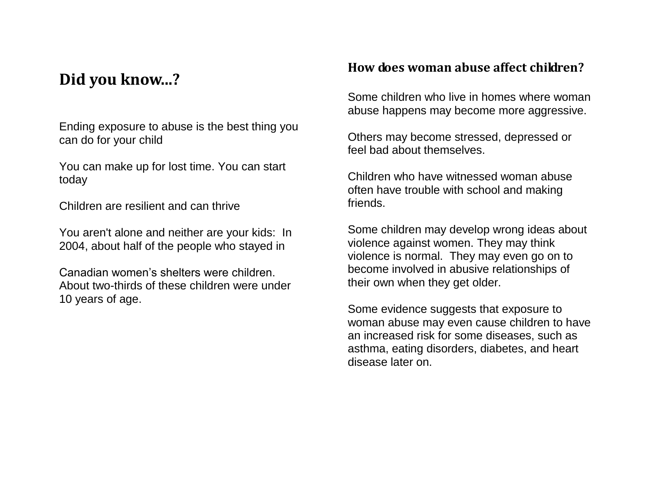# **Did you know...?**

Ending exposure to abuse is the best thing you can do for your child

You can make up for lost time. You can start today

Children are resilient and can thrive

You aren't alone and neither are your kids: In 2004, about half of the people who stayed in

Canadian women's shelters were children. About two-thirds of these children were under 10 years of age.

## **How does woman abuse affect children?**

Some children who live in homes where woman abuse happens may become more aggressive.

Others may become stressed, depressed or feel bad about themselves.

Children who have witnessed woman abuse often have trouble with school and making friends.

Some children may develop wrong ideas about violence against women. They may think violence is normal. They may even go on to become involved in abusive relationships of their own when they get older.

Some evidence suggests that exposure to woman abuse may even cause children to have an increased risk for some diseases, such as asthma, eating disorders, diabetes, and heart disease later on.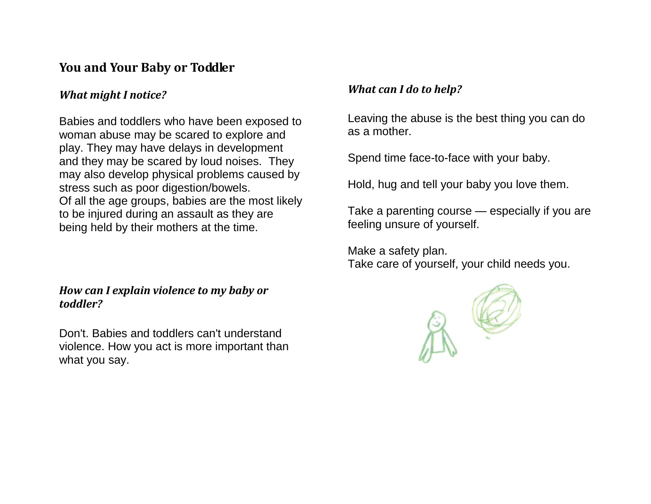## **You and Your Baby or Toddler**

## *What might I notice?*

Babies and toddlers who have been exposed to woman abuse may be scared to explore and play. They may have delays in development and they may be scared by loud noises. They may also develop physical problems caused by stress such as poor digestion/bowels. Of all the age groups, babies are the most likely to be injured during an assault as they are being held by their mothers at the time.

#### *How can I explain violence to my baby or toddler?*

Don't. Babies and toddlers can't understand violence. How you act is more important than what you say.

## *What can I do to help?*

Leaving the abuse is the best thing you can do as a mother.

Spend time face-to-face with your baby.

Hold, hug and tell your baby you love them.

Take a parenting course — especially if you are feeling unsure of yourself.

Make a safety plan. Take care of yourself, your child needs you.

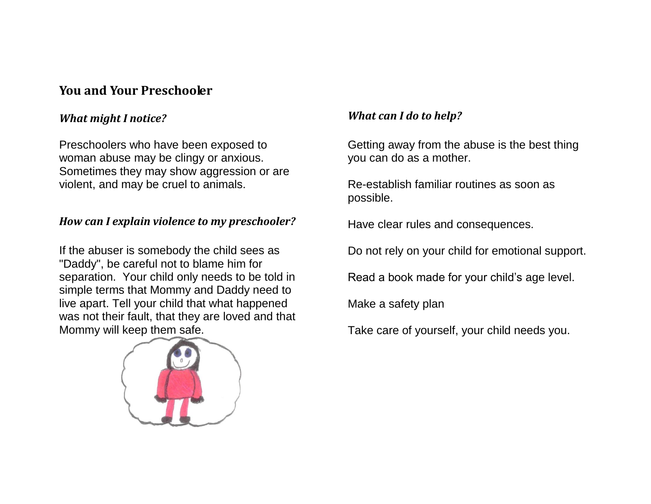## **You and Your Preschooler**

#### *What might I notice?*

Preschoolers who have been exposed to woman abuse may be clingy or anxious. Sometimes they may show aggression or are violent, and may be cruel to animals.

## *How can I explain violence to my preschooler?*

If the abuser is somebody the child sees as "Daddy", be careful not to blame him for separation. Your child only needs to be told in simple terms that Mommy and Daddy need to live apart. Tell your child that what happened was not their fault, that they are loved and that Mommy will keep them safe.



## *What can I do to help?*

Getting away from the abuse is the best thing you can do as a mother.

Re-establish familiar routines as soon as possible.

Have clear rules and consequences.

Do not rely on your child for emotional support.

Read a book made for your child's age level.

Make a safety plan

Take care of yourself, your child needs you.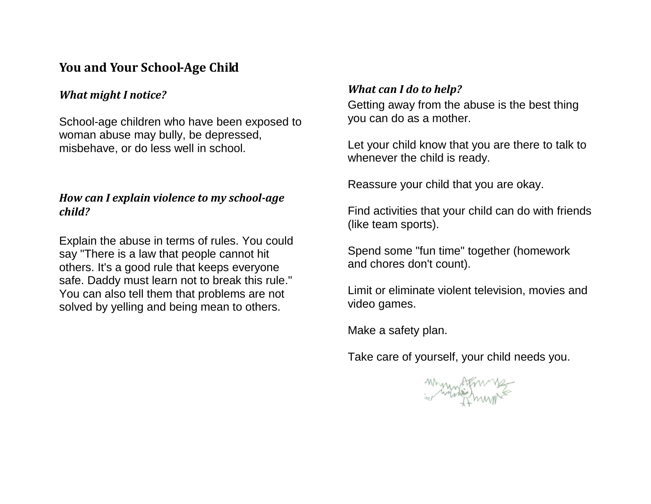## **You and Your School-Age Child**

#### *What might I notice?*

School-age children who have been exposed to woman abuse may bully, be depressed, misbehave, or do less well in school.

## *How can I explain violence to my school-age child?*

Explain the abuse in terms of rules. You could say "There is a law that people cannot hit others. It's a good rule that keeps everyone safe. Daddy must learn not to break this rule." You can also tell them that problems are not solved by yelling and being mean to others.

#### *What can I do to help?*

Getting away from the abuse is the best thing you can do as a mother.

Let your child know that you are there to talk to whenever the child is ready.

Reassure your child that you are okay.

Find activities that your child can do with friends (like team sports).

Spend some "fun time" together (homework and chores don't count).

Limit or eliminate violent television, movies and video games.

Make a safety plan.

Take care of yourself, your child needs you.

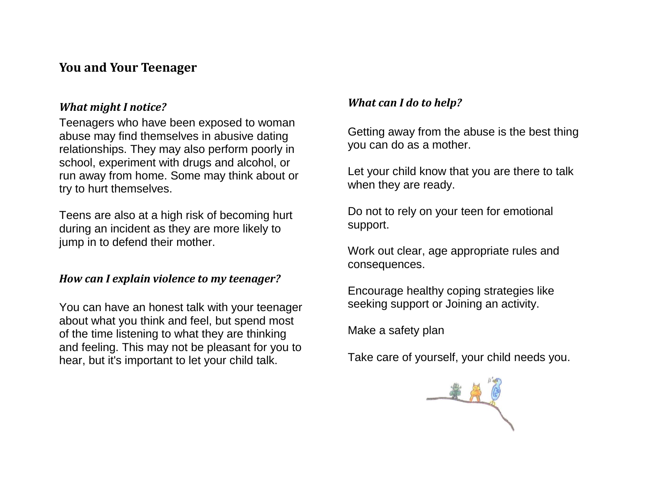## **You and Your Teenager**

#### *What might I notice?*

Teenagers who have been exposed to woman abuse may find themselves in abusive dating relationships. They may also perform poorly in school, experiment with drugs and alcohol, or run away from home. Some may think about or try to hurt themselves.

Teens are also at a high risk of becoming hurt during an incident as they are more likely to jump in to defend their mother.

#### *How can I explain violence to my teenager?*

You can have an honest talk with your teenager about what you think and feel, but spend most of the time listening to what they are thinking and feeling. This may not be pleasant for you to hear, but it's important to let your child talk.

#### *What can I do to help?*

Getting away from the abuse is the best thing you can do as a mother.

Let your child know that you are there to talk when they are ready.

Do not to rely on your teen for emotional support.

Work out clear, age appropriate rules and consequences.

Encourage healthy coping strategies like seeking support or Joining an activity.

Make a safety plan

Take care of yourself, your child needs you.

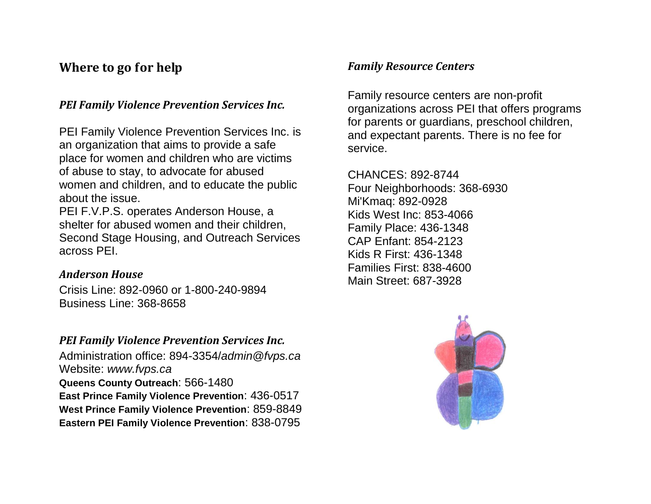## **Where to go for help**

## *PEI Family Violence Prevention Services Inc.*

PEI Family Violence Prevention Services Inc. is an organization that aims to provide a safe place for women and children who are victims of abuse to stay, to advocate for abused women and children, and to educate the public about the issue.

PEI F.V.P.S. operates Anderson House, a shelter for abused women and their children, Second Stage Housing, and Outreach Services across PEI.

#### *Anderson House*

Crisis Line: 892-0960 or 1-800-240-9894 Business Line: 368-8658

## *PEI Family Violence Prevention Services Inc.*

Administration office: 894-3354/*admin@fvps.ca* Website: *www.fvps.ca* **Queens County Outreach**: 566-1480 **East Prince Family Violence Prevention**: 436-0517 **West Prince Family Violence Prevention**: 859-8849 **Eastern PEI Family Violence Prevention**: 838-0795

## *Family Resource Centers*

Family resource centers are non-profit organizations across PEI that offers programs for parents or guardians, preschool children, and expectant parents. There is no fee for service.

CHANCES: 892-8744 Four Neighborhoods: 368-6930 Mi'Kmaq: 892-0928 Kids West Inc: 853-4066 Family Place: 436-1348 CAP Enfant: 854-2123 Kids R First: 436-1348 Families First: 838-4600 Main Street: 687-3928

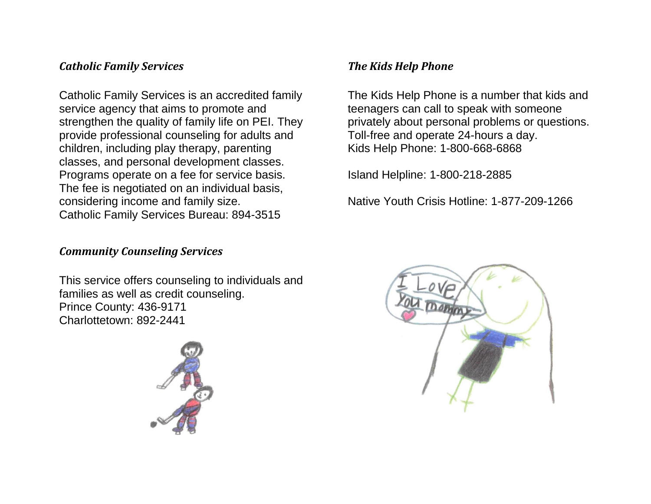## *Catholic Family Services*

Catholic Family Services is an accredited family service agency that aims to promote and strengthen the quality of family life on PEI. They provide professional counseling for adults and children, including play therapy, parenting classes, and personal development classes. Programs operate on a fee for service basis. The fee is negotiated on an individual basis, considering income and family size. Catholic Family Services Bureau: 894-3515

## *Community Counseling Services*

This service offers counseling to individuals and families as well as credit counseling. Prince County: 436-9171 Charlottetown: 892-2441



## *The Kids Help Phone*

The Kids Help Phone is a number that kids and teenagers can call to speak with someone privately about personal problems or questions. Toll-free and operate 24-hours a day. Kids Help Phone: 1-800-668-6868

Island Helpline: 1-800-218-2885

Native Youth Crisis Hotline: 1-877-209-1266